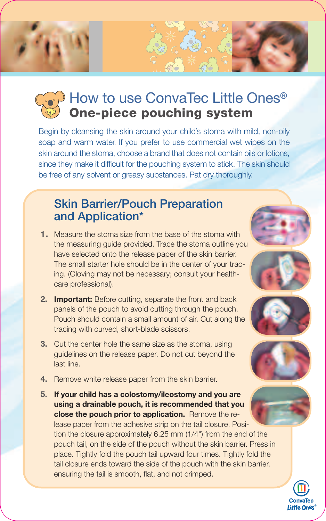

Begin by cleansing the skin around your child's stoma with mild, non-oily soap and warm water. If you prefer to use commercial wet wipes on the skin around the stoma, choose a brand that does not contain oils or lotions, since they make it difficult for the pouching system to stick. The skin should be free of any solvent or greasy substances. Pat dry thoroughly.

## **Skin Barrier/Pouch Preparation and Application\***

- **1.** Measure the stoma size from the base of the stoma with the measuring guide provided. Trace the stoma outline you have selected onto the release paper of the skin barrier. The small starter hole should be in the center of your tracing. (Gloving may not be necessary; consult your healthcare professional).
- **2. Important:** Before cutting, separate the front and back panels of the pouch to avoid cutting through the pouch. Pouch should contain a small amount of air. Cut along the tracing with curved, short-blade scissors.
- **3.** Cut the center hole the same size as the stoma, using guidelines on the release paper. Do not cut beyond the last line.
- **4.** Remove white release paper from the skin barrier.
- **5. If your child has a colostomy/ileostomy and you are using a drainable pouch, it is recommended that you close the pouch prior to application.** Remove the release paper from the adhesive strip on the tail closure. Position the closure approximately 6.25 mm (1/4") from the end of the pouch tail, on the side of the pouch without the skin barrier. Press in place. Tightly fold the pouch tail upward four times. Tightly fold the tail closure ends toward the side of the pouch with the skin barrier, ensuring the tail is smooth, flat, and not crimped.